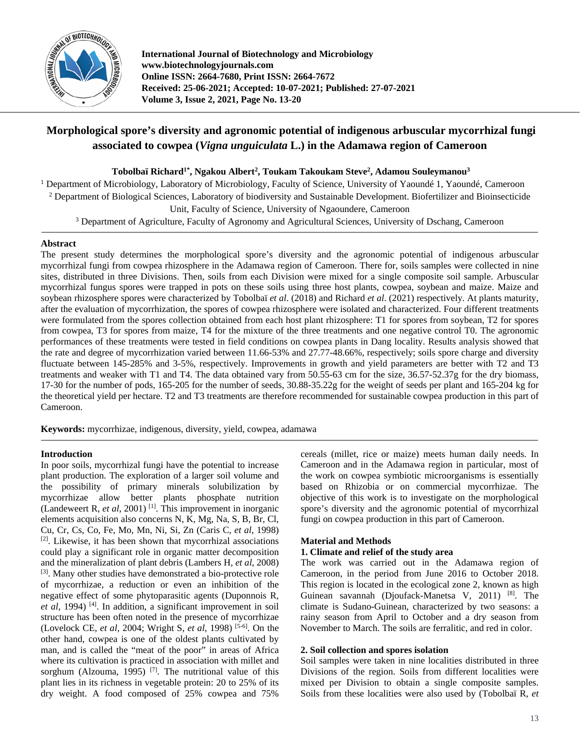

**International Journal of Biotechnology and Microbiology www.biotechnologyjournals.com Online ISSN: 2664-7680, Print ISSN: 2664-7672 Received: 25-06-2021; Accepted: 10-07-2021; Published: 27-07-2021 Volume 3, Issue 2, 2021, Page No. 13-20**

# **Morphological spore's diversity and agronomic potential of indigenous arbuscular mycorrhizal fungi associated to cowpea (***Vigna unguiculata* **L.) in the Adamawa region of Cameroon**

**Tobolbaï Richard1\*, Ngakou Albert2 , Toukam Takoukam Steve2 , Adamou Souleymanou3**

<sup>1</sup> Department of Microbiology, Laboratory of Microbiology, Faculty of Science, University of Yaoundé 1, Yaoundé, Cameroon <sup>2</sup> Department of Biological Sciences, Laboratory of biodiversity and Sustainable Development. Biofertilizer and Bioinsecticide

Unit, Faculty of Science, University of Ngaoundere, Cameroon

<sup>3</sup> Department of Agriculture, Faculty of Agronomy and Agricultural Sciences, University of Dschang, Cameroon

## **Abstract**

The present study determines the morphological spore's diversity and the agronomic potential of indigenous arbuscular mycorrhizal fungi from cowpea rhizosphere in the Adamawa region of Cameroon. There for, soils samples were collected in nine sites, distributed in three Divisions. Then, soils from each Division were mixed for a single composite soil sample. Arbuscular mycorrhizal fungus spores were trapped in pots on these soils using three host plants, cowpea, soybean and maize. Maize and soybean rhizosphere spores were characterized by Tobolbaï *et al*. (2018) and Richard *et al*. (2021) respectively. At plants maturity, after the evaluation of mycorrhization, the spores of cowpea rhizosphere were isolated and characterized. Four different treatments were formulated from the spores collection obtained from each host plant rhizosphere: T1 for spores from soybean, T2 for spores from cowpea, T3 for spores from maize, T4 for the mixture of the three treatments and one negative control T0. The agronomic performances of these treatments were tested in field conditions on cowpea plants in Dang locality. Results analysis showed that the rate and degree of mycorrhization varied between 11.66-53% and 27.77-48.66%, respectively; soils spore charge and diversity fluctuate between 145-285% and 3-5%, respectively. Improvements in growth and yield parameters are better with T2 and T3 treatments and weaker with T1 and T4. The data obtained vary from 50.55-63 cm for the size, 36.57-52.37g for the dry biomass, 17-30 for the number of pods, 165-205 for the number of seeds, 30.88-35.22g for the weight of seeds per plant and 165-204 kg for the theoretical yield per hectare. T2 and T3 treatments are therefore recommended for sustainable cowpea production in this part of Cameroon.

**Keywords:** mycorrhizae, indigenous, diversity, yield, cowpea, adamawa

## **Introduction**

In poor soils, mycorrhizal fungi have the potential to increase plant production. The exploration of a larger soil volume and the possibility of primary minerals solubilization by mycorrhizae allow better plants phosphate nutrition (Landeweert R, *et al*, 2001) [1]. This improvement in inorganic elements acquisition also concerns N, K, Mg, Na, S, B, Br, Cl, Cu, Cr, Cs, Co, Fe, Mo, Mn, Ni, Si, Zn (Caris C*, et al*, 1998) [2]. Likewise, it has been shown that mycorrhizal associations could play a significant role in organic matter decomposition and the mineralization of plant debris (Lambers H, *et al*, 2008) [3]. Many other studies have demonstrated a bio-protective role of mycorrhizae, a reduction or even an inhibition of the negative effect of some phytoparasitic agents (Duponnois R, *et al*, 1994) [4]. In addition, a significant improvement in soil structure has been often noted in the presence of mycorrhizae (Lovelock CE, *et al*, 2004; Wright S, *et al*, 1998) [5-6]. On the other hand, cowpea is one of the oldest plants cultivated by man, and is called the "meat of the poor" in areas of Africa where its cultivation is practiced in association with millet and sorghum (Alzouma, 1995)<sup>[7]</sup>. The nutritional value of this plant lies in its richness in vegetable protein: 20 to 25% of its dry weight. A food composed of 25% cowpea and 75%

cereals (millet, rice or maize) meets human daily needs. In Cameroon and in the Adamawa region in particular, most of the work on cowpea symbiotic microorganisms is essentially based on Rhizobia or on commercial mycorrhizae. The objective of this work is to investigate on the morphological spore's diversity and the agronomic potential of mycorrhizal fungi on cowpea production in this part of Cameroon.

## **Material and Methods**

## **1. Climate and relief of the study area**

The work was carried out in the Adamawa region of Cameroon, in the period from June 2016 to October 2018. This region is located in the ecological zone 2, known as high Guinean savannah (Djoufack-Manetsa V, 2011) [8]. The climate is Sudano-Guinean, characterized by two seasons: a rainy season from April to October and a dry season from November to March. The soils are ferralitic, and red in color.

## **2. Soil collection and spores isolation**

Soil samples were taken in nine localities distributed in three Divisions of the region. Soils from different localities were mixed per Division to obtain a single composite samples. Soils from these localities were also used by (Tobolbaï R, *et*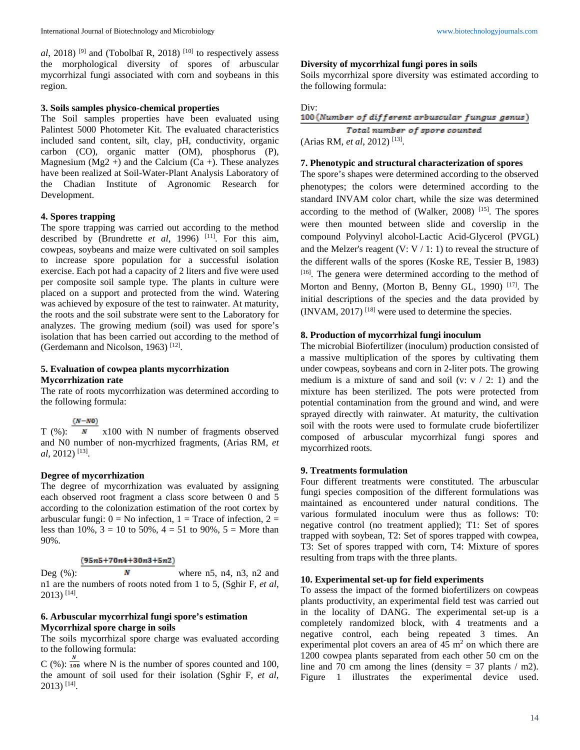*al*, 2018) <sup>[9]</sup> and (Tobolbaï R, 2018) <sup>[10]</sup> to respectively assess the morphological diversity of spores of arbuscular mycorrhizal fungi associated with corn and soybeans in this region.

## **3. Soils samples physico-chemical properties**

The Soil samples properties have been evaluated using Palintest 5000 Photometer Kit. The evaluated characteristics included sand content, silt, clay, pH, conductivity, organic carbon (CO), organic matter (OM), phosphorus (P), Magnesium ( $Mg2 +$ ) and the Calcium (Ca +). These analyzes have been realized at Soil-Water-Plant Analysis Laboratory of the Chadian Institute of Agronomic Research for Development.

## **4. Spores trapping**

The spore trapping was carried out according to the method described by (Brundrette *et al*, 1996) [11]. For this aim, cowpeas, soybeans and maize were cultivated on soil samples to increase spore population for a successful isolation exercise. Each pot had a capacity of 2 liters and five were used per composite soil sample type. The plants in culture were placed on a support and protected from the wind. Watering was achieved by exposure of the test to rainwater. At maturity, the roots and the soil substrate were sent to the Laboratory for analyzes. The growing medium (soil) was used for spore's isolation that has been carried out according to the method of (Gerdemann and Nicolson, 1963)<sup>[12]</sup>.

## **5. Evaluation of cowpea plants mycorrhization Mycorrhization rate**

The rate of roots mycorrhization was determined according to the following formula:

## $(N-N0)$

 $T$  (%):  $\overline{N}$  x100 with N number of fragments observed and N0 number of non-mycrhized fragments, (Arias RM, *et al*, 2012) [13].

## **Degree of mycorrhization**

The degree of mycorrhization was evaluated by assigning each observed root fragment a class score between 0 and 5 according to the colonization estimation of the root cortex by arbuscular fungi:  $0 = No$  infection,  $1 = Trace$  of infection,  $2 =$ less than 10%,  $3 = 10$  to 50%,  $4 = 51$  to 90%,  $5 =$  More than 90%.

## $(95n5+70n4+30n3+5n2)$

Deg  $(\%)$ : **N** where n5, n4, n3, n2 and n1 are the numbers of roots noted from 1 to 5, (Sghir F, *et al*,  $2013$ ) [14].

## **6. Arbuscular mycorrhizal fungi spore's estimation Mycorrhizal spore charge in soils**

The soils mycorrhizal spore charge was evaluated according to the following formula:

C (%):  $\frac{N}{100}$  where N is the number of spores counted and 100, the amount of soil used for their isolation (Sghir F, *et al*,  $2013$ ) [14].

## **Diversity of mycorrhizal fungi pores in soils**

Soils mycorrhizal spore diversity was estimated according to the following formula:

```
Div:<br>100 (Number of different arbuscular fungus genus)
```
Total number of spore counted (Arias RM, *et al*, 2012) [13].

## **7. Phenotypic and structural characterization of spores**

The spore's shapes were determined according to the observed phenotypes; the colors were determined according to the standard INVAM color chart, while the size was determined according to the method of (Walker, 2008)  $[15]$ . The spores were then mounted between slide and coverslip in the compound Polyvinyl alcohol-Lactic Acid-Glycerol (PVGL) and the Melzer's reagent  $(V: V / 1: 1)$  to reveal the structure of the different walls of the spores (Koske RE, Tessier B, 1983) [16]. The genera were determined according to the method of Morton and Benny, (Morton B, Benny GL, 1990)<sup>[17]</sup>. The initial descriptions of the species and the data provided by (INVAM, 2017) [18] were used to determine the species.

## **8. Production of mycorrhizal fungi inoculum**

The microbial Biofertilizer (inoculum) production consisted of a massive multiplication of the spores by cultivating them under cowpeas, soybeans and corn in 2-liter pots. The growing medium is a mixture of sand and soil (v:  $v / 2$ : 1) and the mixture has been sterilized. The pots were protected from potential contamination from the ground and wind, and were sprayed directly with rainwater. At maturity, the cultivation soil with the roots were used to formulate crude biofertilizer composed of arbuscular mycorrhizal fungi spores and mycorrhized roots.

## **9. Treatments formulation**

Four different treatments were constituted. The arbuscular fungi species composition of the different formulations was maintained as encountered under natural conditions. The various formulated inoculum were thus as follows: T0: negative control (no treatment applied); T1: Set of spores trapped with soybean, T2: Set of spores trapped with cowpea, T3: Set of spores trapped with corn, T4: Mixture of spores resulting from traps with the three plants.

## **10. Experimental set-up for field experiments**

To assess the impact of the formed biofertilizers on cowpeas plants productivity, an experimental field test was carried out in the locality of DANG. The experimental set-up is a completely randomized block, with 4 treatments and a negative control, each being repeated 3 times. An experimental plot covers an area of  $45 \text{ m}^2$  on which there are 1200 cowpea plants separated from each other 50 cm on the line and 70 cm among the lines (density  $= 37$  plants / m2). Figure 1 illustrates the experimental device used.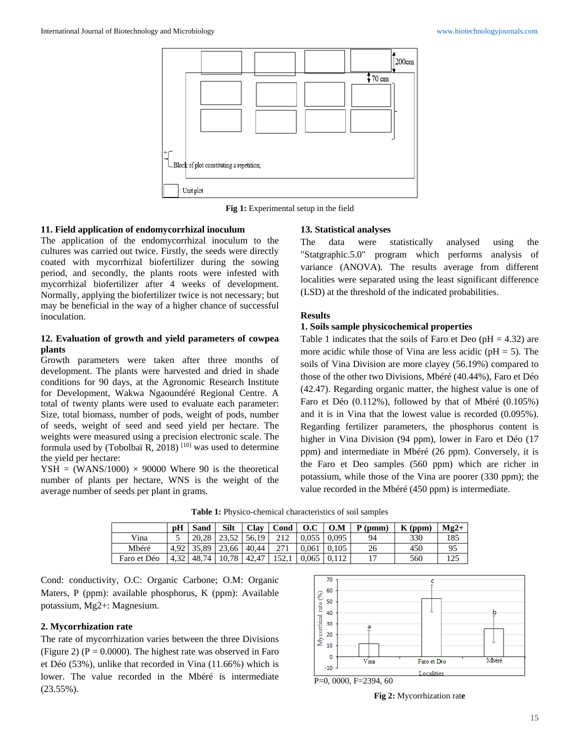

**Fig 1:** Experimental setup in the field

## **11. Field application of endomycorrhizal inoculum**

The application of the endomycorrhizal inoculum to the cultures was carried out twice. Firstly, the seeds were directly coated with mycorrhizal biofertilizer during the sowing period, and secondly, the plants roots were infested with mycorrhizal biofertilizer after 4 weeks of development. Normally, applying the biofertilizer twice is not necessary; but may be beneficial in the way of a higher chance of successful inoculation.

## **12. Evaluation of growth and yield parameters of cowpea plants**

Growth parameters were taken after three months of development. The plants were harvested and dried in shade conditions for 90 days, at the Agronomic Research Institute for Development, Wakwa Ngaoundéré Regional Centre. A total of twenty plants were used to evaluate each parameter: Size, total biomass, number of pods, weight of pods, number of seeds, weight of seed and seed yield per hectare. The weights were measured using a precision electronic scale. The formula used by (Tobolbaï R, 2018)<sup>[10]</sup> was used to determine the yield per hectare:

 $YSH = (WANS/1000) \times 90000$  Where 90 is the theoretical number of plants per hectare, WNS is the weight of the average number of seeds per plant in grams.

#### **13. Statistical analyses**

The data were statistically analysed using the "Statgraphic.5.0" program which performs analysis of variance (ANOVA). The results average from different localities were separated using the least significant difference (LSD) at the threshold of the indicated probabilities.

## **Results**

## **1. Soils sample physicochemical properties**

Table 1 indicates that the soils of Faro et Deo ( $pH = 4.32$ ) are more acidic while those of Vina are less acidic ( $pH = 5$ ). The soils of Vina Division are more clayey (56.19%) compared to those of the other two Divisions, Mbéré (40.44%), Faro et Déo (42.47). Regarding organic matter, the highest value is one of Faro et Déo (0.112%), followed by that of Mbéré (0.105%) and it is in Vina that the lowest value is recorded (0.095%). Regarding fertilizer parameters, the phosphorus content is higher in Vina Division (94 ppm), lower in Faro et Déo (17 ppm) and intermediate in Mbéré (26 ppm). Conversely, it is the Faro et Deo samples (560 ppm) which are richer in potassium, while those of the Vina are poorer (330 ppm); the value recorded in the Mbéré (450 ppm) is intermediate.

**Table 1:** Physico-chemical characteristics of soil samples

|             | pH                | Sand  | Silt             |       | $Clav$ $Cond$ $O.C$ |       | 0.M   | $P$ (pmm) | $K$ (ppm) | $M\epsilon 2+$ |
|-------------|-------------------|-------|------------------|-------|---------------------|-------|-------|-----------|-----------|----------------|
| Vina        |                   | 20.28 | 23.52            | 56.19 |                     | 0.055 | 0.095 | 94        | 330       | 185            |
| Mbéré       | 4.92              |       | $135.89$   23.66 | 40.44 |                     | 0.061 | 0.105 | 26        | 450       | 95             |
| Faro et Déo | 4.32 <sub>1</sub> | 48.74 | 10,78            | 42.47 | 152.1               | 0.065 |       | 17        | 560       |                |

Cond: conductivity, O.C: Organic Carbone; O.M: Organic Maters, P (ppm): available phosphorus, K (ppm): Available potassium, Mg2+: Magnesium.

## **2. Mycorrhization rate**

The rate of mycorrhization varies between the three Divisions (Figure 2) ( $P = 0.0000$ ). The highest rate was observed in Faro et Déo (53%), unlike that recorded in Vina (11.66%) which is lower. The value recorded in the Mbéré is intermediate (23.55%).



P=0, 0000, F=2394, 60

**Fig 2:** Mycorrhization rat**e**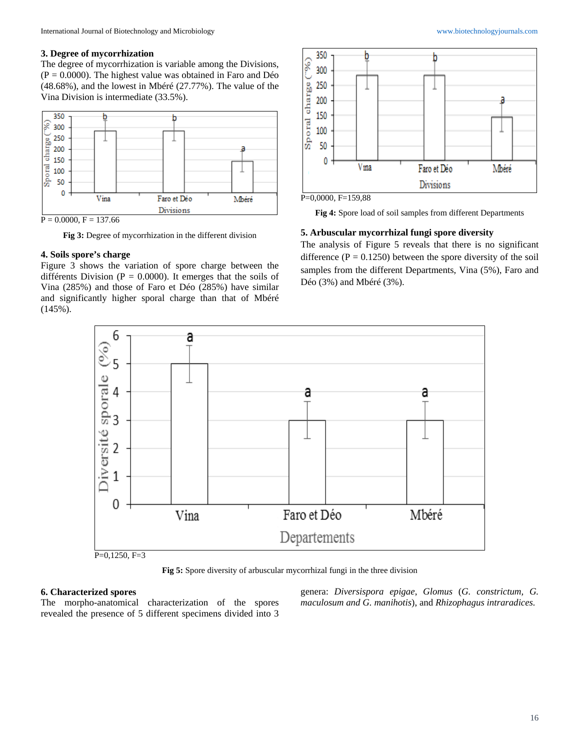## **3. Degree of mycorrhization**

The degree of mycorrhization is variable among the Divisions,  $(P = 0.0000)$ . The highest value was obtained in Faro and Déo (48.68%), and the lowest in Mbéré (27.77%). The value of the Vina Division is intermediate (33.5%).



**Fig 3:** Degree of mycorrhization in the different division

## **4. Soils spore's charge**

Figure 3 shows the variation of spore charge between the différents Division ( $P = 0.0000$ ). It emerges that the soils of Vina (285%) and those of Faro et Déo (285%) have similar and significantly higher sporal charge than that of Mbéré (145%).



P=0,0000, F=159,88

**Fig 4:** Spore load of soil samples from different Departments

## **5. Arbuscular mycorrhizal fungi spore diversity**

The analysis of Figure 5 reveals that there is no significant difference  $(P = 0.1250)$  between the spore diversity of the soil samples from the different Departments, Vina (5%), Faro and Déo (3%) and Mbéré (3%).



P=0,1250, F=3

**Fig 5:** Spore diversity of arbuscular mycorrhizal fungi in the three division

#### **6. Characterized spores**

The morpho-anatomical characterization of the spores revealed the presence of 5 different specimens divided into 3

genera: *Diversispora epigae*, *Glomus* (*G. constrictum, G. maculosum and G. manihotis*), and *Rhizophagus intraradices.*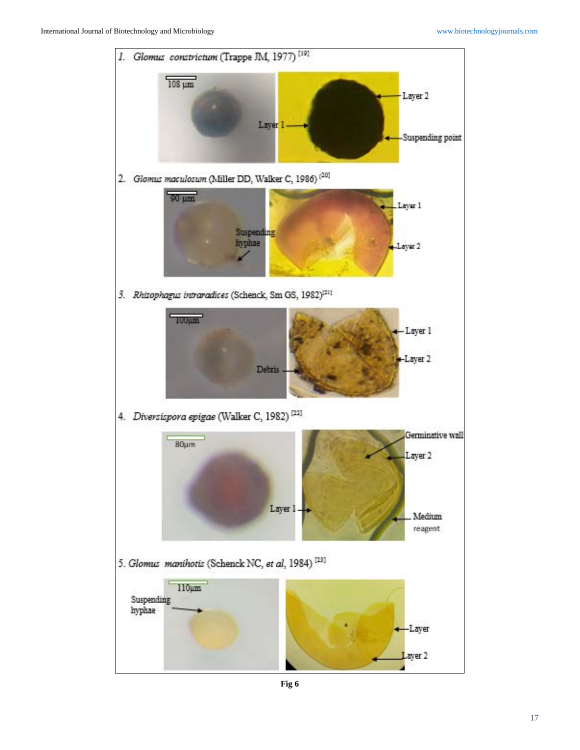

**Fig 6**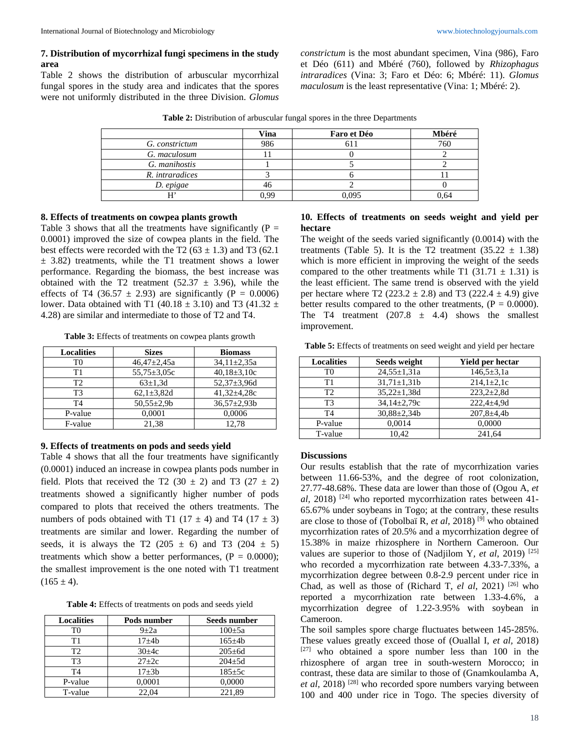## **7. Distribution of mycorrhizal fungi specimens in the study area**

Table 2 shows the distribution of arbuscular mycorrhizal fungal spores in the study area and indicates that the spores were not uniformly distributed in the three Division. *Glomus* 

*constrictum* is the most abundant specimen, Vina (986), Faro et Déo (611) and Mbéré (760), followed by *Rhizophagus intraradices* (Vina: 3; Faro et Déo: 6; Mbéré: 11). *Glomus maculosum* is the least representative (Vina: 1; Mbéré: 2).

|                 | <b>Vina</b> | <b>Faro et Déo</b> | Mbéré |
|-----------------|-------------|--------------------|-------|
| G. constrictum  | 986         |                    | 760   |
| G. maculosum    |             |                    |       |
| G. manihostis   |             |                    |       |
| R. intraradices |             |                    |       |
| D. epigae       | 46          |                    |       |
|                 | 0.99        | 0,095              | 0.64  |

**Table 2:** Distribution of arbuscular fungal spores in the three Departments

#### **8. Effects of treatments on cowpea plants growth**

Table 3 shows that all the treatments have significantly ( $P =$ 0.0001) improved the size of cowpea plants in the field. The best effects were recorded with the T2 ( $63 \pm 1.3$ ) and T3 ( $62.1$ )  $\pm$  3.82) treatments, while the T1 treatment shows a lower performance. Regarding the biomass, the best increase was obtained with the T2 treatment (52.37  $\pm$  3.96), while the effects of T4 (36.57  $\pm$  2.93) are significantly (P = 0.0006) lower. Data obtained with T1 (40.18  $\pm$  3.10) and T3 (41.32  $\pm$ 4.28) are similar and intermediate to those of T2 and T4.

**Table 3:** Effects of treatments on cowpea plants growth

| <b>Localities</b> | <b>Sizes</b>      | <b>Biomass</b>    |
|-------------------|-------------------|-------------------|
| T0                | $46,47 \pm 2,45a$ | $34.11 \pm 2.35a$ |
| Τ1                | $55,75 \pm 3,05c$ | $40,18\pm3,10c$   |
| T2                | $63 \pm 1.3d$     | 52,37±3,96d       |
| T3                | $62,1 \pm 3,82$ d | $41,32 \pm 4,28c$ |
| T4                | $50,55 \pm 2,9$ b | $36,57 \pm 2,93b$ |
| P-value           | 0,0001            | 0,0006            |
| F-value           | 21,38             | 12.78             |

#### **9. Effects of treatments on pods and seeds yield**

Table 4 shows that all the four treatments have significantly (0.0001) induced an increase in cowpea plants pods number in field. Plots that received the T2 (30  $\pm$  2) and T3 (27  $\pm$  2) treatments showed a significantly higher number of pods compared to plots that received the others treatments. The numbers of pods obtained with T1 (17  $\pm$  4) and T4 (17  $\pm$  3) treatments are similar and lower. Regarding the number of seeds, it is always the T2 (205  $\pm$  6) and T3 (204  $\pm$  5) treatments which show a better performances,  $(P = 0.0000)$ ; the smallest improvement is the one noted with T1 treatment  $(165 \pm 4)$ .

**Table 4:** Effects of treatments on pods and seeds yield

| <b>Localities</b> | Pods number | Seeds number |
|-------------------|-------------|--------------|
| T0                | $9\pm 2a$   | $100 \pm 5a$ |
| Τ1                | $17 + 4h$   | $165 \pm 4b$ |
| T2                | $30 + 4c$   | $205 \pm 6d$ |
| T3                | $27 + 2c$   | $204 + 5d$   |
| T4                | $17 + 3b$   | $185 \pm 5c$ |
| P-value           | 0,0001      | 0,0000       |
| T-value           | 22.04       | 221.89       |

## **10. Effects of treatments on seeds weight and yield per hectare**

The weight of the seeds varied significantly (0.0014) with the treatments (Table 5). It is the T2 treatment  $(35.22 \pm 1.38)$ which is more efficient in improving the weight of the seeds compared to the other treatments while T1 (31.71  $\pm$  1.31) is the least efficient. The same trend is observed with the yield per hectare where T2 (223.2  $\pm$  2.8) and T3 (222.4  $\pm$  4.9) give better results compared to the other treatments,  $(P = 0.0000)$ . The T4 treatment  $(207.8 \pm 4.4)$  shows the smallest improvement.

**Table 5:** Effects of treatments on seed weight and yield per hectare

| <b>Localities</b> | Seeds weight       | Yield per hectar |
|-------------------|--------------------|------------------|
| T0                | $24.55 \pm 1.31a$  | $146.5 \pm 3.1a$ |
| Τ1                | $31,71 \pm 1,31b$  | $214,1\pm2,1c$   |
| T <sub>2</sub>    | $35,22 \pm 1,38$ d | $223,2+2,8d$     |
| T3                | 34,14±2,79c        | $222.4 \pm 4.9d$ |
| T <sub>4</sub>    | $30,88 \pm 2,34b$  | $207,8 \pm 4,4b$ |
| P-value           | 0,0014             | 0,0000           |
| T-value           | 10.42              | 241,64           |

## **Discussions**

Our results establish that the rate of mycorrhization varies between 11.66-53%, and the degree of root colonization, 27.77-48.68%. These data are lower than those of (Ogou A, *et al,* 2018) [24] who reported mycorrhization rates between 41- 65.67% under soybeans in Togo; at the contrary, these results are close to those of (Tobolbaï R, *et al,* 2018) [9] who obtained mycorrhization rates of 20.5% and a mycorrhization degree of 15.38% in maize rhizosphere in Northern Cameroon. Our values are superior to those of (Nadjilom Y*, et al*, 2019) [25] who recorded a mycorrhization rate between 4.33-7.33%, a mycorrhization degree between 0.8-2.9 percent under rice in Chad, as well as those of (Richard T, *el al*, 2021)<sup>[26]</sup> who reported a mycorrhization rate between 1.33-4.6%, a mycorrhization degree of 1.22-3.95% with soybean in Cameroon.

The soil samples spore charge fluctuates between 145-285%. These values greatly exceed those of (Ouallal I, *et al,* 2018)  $[27]$  who obtained a spore number less than 100 in the rhizosphere of argan tree in south-western Morocco; in contrast, these data are similar to those of (Gnamkoulamba A, *et al,* 2018) [28] who recorded spore numbers varying between 100 and 400 under rice in Togo. The species diversity of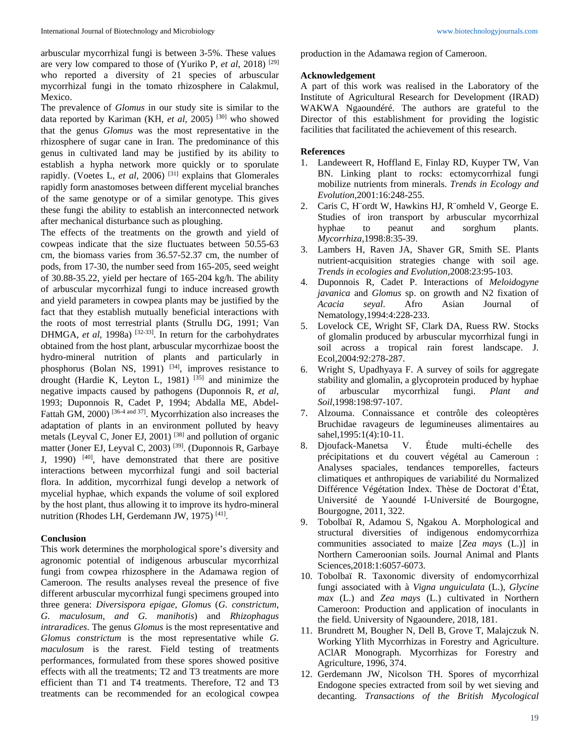arbuscular mycorrhizal fungi is between 3-5%. These values are very low compared to those of (Yuriko P, *et al*, 2018) [29] who reported a diversity of 21 species of arbuscular mycorrhizal fungi in the tomato rhizosphere in Calakmul, Mexico.

The prevalence of *Glomus* in our study site is similar to the data reported by Kariman (KH, et al, 2005)<sup>[30]</sup> who showed that the genus *Glomus* was the most representative in the rhizosphere of sugar cane in Iran. The predominance of this genus in cultivated land may be justified by its ability to establish a hypha network more quickly or to sporulate rapidly. (Voetes L, *et al*, 2006) [31] explains that Glomerales rapidly form anastomoses between different mycelial branches of the same genotype or of a similar genotype. This gives these fungi the ability to establish an interconnected network after mechanical disturbance such as ploughing.

The effects of the treatments on the growth and yield of cowpeas indicate that the size fluctuates between 50.55-63 cm, the biomass varies from 36.57-52.37 cm, the number of pods, from 17-30, the number seed from 165-205, seed weight of 30.88-35.22, yield per hectare of 165-204 kg/h. The ability of arbuscular mycorrhizal fungi to induce increased growth and yield parameters in cowpea plants may be justified by the fact that they establish mutually beneficial interactions with the roots of most terrestrial plants (Strullu DG, 1991; Van DHMGA, *et al*, 1998a) <sup>[32-33]</sup>. In return for the carbohydrates obtained from the host plant, arbuscular mycorrhizae boost the hydro-mineral nutrition of plants and particularly in phosphorus (Bolan NS, 1991) <sup>[34]</sup>, improves resistance to drought (Hardie K, Leyton L, 1981)  $^{[35]}$  and minimize the negative impacts caused by pathogens (Duponnois R, *et al*, 1993; Duponnois R, Cadet P, 1994; Abdalla ME, Abdel-Fattah GM, 2000)<sup>[36-4 and 37]</sup>. Mycorrhization also increases the adaptation of plants in an environment polluted by heavy metals (Leyval C, Joner EJ, 2001) [38] and pollution of organic matter (Joner EJ, Leyval C, 2003)<sup>[39]</sup>. (Duponnois R, Garbaye J, 1990)  $[40]$ , have demonstrated that there are positive interactions between mycorrhizal fungi and soil bacterial flora. In addition, mycorrhizal fungi develop a network of mycelial hyphae, which expands the volume of soil explored by the host plant, thus allowing it to improve its hydro-mineral nutrition (Rhodes LH, Gerdemann JW, 1975) [41].

## **Conclusion**

This work determines the morphological spore's diversity and agronomic potential of indigenous arbuscular mycorrhizal fungi from cowpea rhizosphere in the Adamawa region of Cameroon. The results analyses reveal the presence of five different arbuscular mycorrhizal fungi specimens grouped into three genera: *Diversispora epigae, Glomu*s (*G. constrictum*, *G. maculosum*, *and G. manihotis*) and *Rhizophagus intraradices*. The genus *Glomus* is the most representative and *Glomus constrictum* is the most representative while *G. maculosum* is the rarest. Field testing of treatments performances, formulated from these spores showed positive effects with all the treatments; T2 and T3 treatments are more efficient than T1 and T4 treatments. Therefore, T2 and T3 treatments can be recommended for an ecological cowpea production in the Adamawa region of Cameroon.

#### **Acknowledgement**

A part of this work was realised in the Laboratory of the Institute of Agricultural Research for Development (IRAD) WAKWA Ngaoundéré. The authors are grateful to the Director of this establishment for providing the logistic facilities that facilitated the achievement of this research.

## **References**

- 1. Landeweert R, Hoffland E, Finlay RD, Kuyper TW, Van BN. Linking plant to rocks: ectomycorrhizal fungi mobilize nutrients from minerals. *Trends in Ecology and Evolution*,2001:16:248-255.
- 2. Caris C, H¨ordt W, Hawkins HJ, R¨omheld V, George E. Studies of iron transport by arbuscular mycorrhizal hyphae to peanut and sorghum plants. *Mycorrhiza*,1998:8:35-39.
- 3. Lambers H, Raven JA, Shaver GR, Smith SE. Plants nutrient-acquisition strategies change with soil age. *Trends in ecologies and Evolution,*2008:23:95-103.
- 4. Duponnois R, Cadet P. Interactions of *Meloidogyne javanica* and *Glomus* sp. on growth and N2 fixation of *Acacia seyal*. Afro Asian Journal of Nematology,1994:4:228-233.
- 5. Lovelock CE, Wright SF, Clark DA, Ruess RW. Stocks of glomalin produced by arbuscular mycorrhizal fungi in soil across a tropical rain forest landscape. J. Ecol,2004:92:278-287.
- 6. Wright S, Upadhyaya F. A survey of soils for aggregate stability and glomalin, a glycoprotein produced by hyphae of arbuscular mycorrhizal fungi. *Plant and Soil*,1998:198:97-107.
- 7. Alzouma. Connaissance et contrôle des coleoptères Bruchidae ravageurs de legumineuses alimentaires au sahel,1995:1(4):10-11.
- 8. Djoufack-Manetsa V. Étude multi-échelle des précipitations et du couvert végétal au Cameroun : Analyses spaciales, tendances temporelles, facteurs climatiques et anthropiques de variabilité du Normalized Différence Végétation Index. Thèse de Doctorat d'État, Université de Yaoundé I-Université de Bourgogne, Bourgogne, 2011, 322.
- 9. Tobolbaï R, Adamou S, Ngakou A. Morphological and structural diversities of indigenous endomycorrhiza communities associated to maize [*Zea mays* (L.)] in Northern Cameroonian soils. Journal Animal and Plants Sciences,2018:1:6057-6073.
- 10. Tobolbaï R. Taxonomic diversity of endomycorrhizal fungi associated with à *Vigna unguiculata* (L.), *Glycine max* (L.) and *Zea mays* (L.) cultivated in Northern Cameroon: Production and application of inoculants in the field. University of Ngaoundere, 2018, 181.
- 11. Brundrett M, Bougher N, Dell B, Grove T, Malajczuk N. Working Ylith Mycorrhizas in Forestry and Agriculture. AClAR Monograph. Mycorrhizas for Forestry and Agriculture, 1996, 374.
- 12. Gerdemann JW, Nicolson TH. Spores of mycorrhizal Endogone species extracted from soil by wet sieving and decanting. *Transactions of the British Mycological*